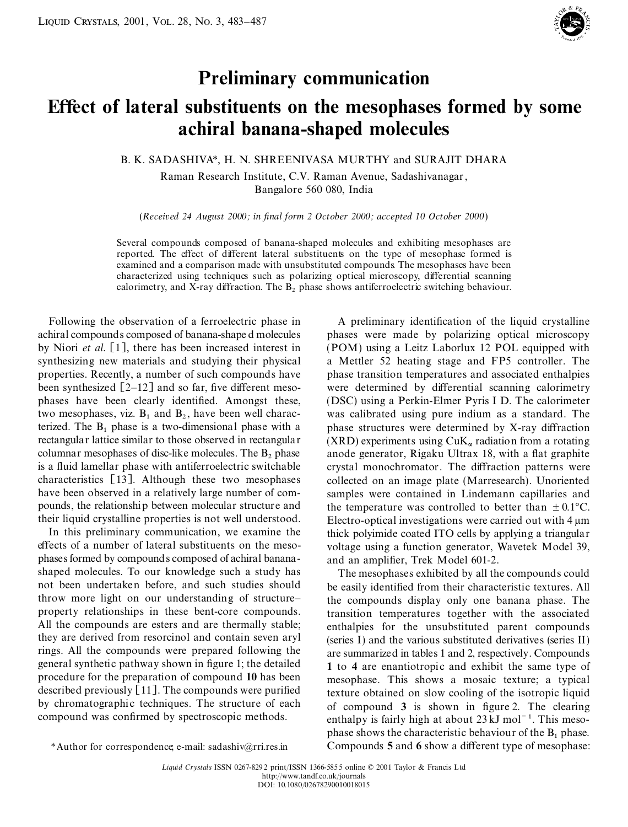

## **Preliminary communication**

## **EŒect of lateral substituents on the mesophases formed by some achiral banana-shaped molecules**

B. K. SADASHIVA\*, H. N. SHREENIVASA MURTHY and SURAJIT DHARA

Raman Research Institute, C.V. Raman Avenue, Sadashivanagar, Bangalore 560 080, India

(*Received 24 August 2000; in nal form 2 October 2000; accepted 10 October 2000*)

Several compounds composed of banana-shaped molecules and exhibiting mesophases are reported. The effect of different lateral substituents on the type of mesophase formed is examined and a comparison made with unsubstituted compounds. The mesophases have been characterized using techniques such as polarizing optical microscopy, differential scanning calorimetry, and X-ray diffraction. The  $B_2$  phase shows antiferroelectric switching behaviour.

achiral compounds composed of banana-shape d molecules phases were made by polarizing optical microscopy by Niori *et al.* [1], there has been increased interest in (POM) using a Leitz Laborlux 12 POL equipped with synthesizing new materials and studying their physical a Mettler 52 heating stage and FP5 controller. The properties. Recently, a number of such compounds have phase transition temperatures and associated enthalpies been synthesized  $[2-12]$  and so far, five different meso- were determined by differential scanning calorimetry phases have been clearly identified. Amongst these, (DSC) using a Perkin-Elmer Pyris I D. The calorimeter two mesophases, viz.  $B_1$  and  $B_2$ , ha terized. The  $B_1$  phase is a two-dimensional phase with a terized. The  $B_1$  phase is a two-dimensional phase with a phase structures were determined by X-ray diffraction rectangular lattice similar to those observed in rectangular (XRD) experiments using CuK, radiation from a r rectangular lattice similar to those observed in rectangular (XRD) experiments using  $\text{CuK}_{\alpha}$  radiation from a rotating columnar mesophases of disc-like molecules. The B<sub>2</sub> phase anode generator. Rigaku Ultrax 18, with columnar mesophases of disc-like molecules. The  $B_2$  phase anode generator, Rigaku Ultrax 18, with a flat graphite is a fluid lamellar phase with antiferroelectric switchable crystal monochromator. The diffraction patter is a fluid lamellar phase with antiferroelectric switchable crystal monochromator. The diffraction patterns were<br>characteristics [13]. Although these two mesophases collected on an image plate (Marresearch). Unoriented characteristics [13]. Although these two mesophases collected on an image plate (Marresearch). Unoriented have been observed in a relatively large number of com-<br>samples were contained in Lindemann capillaries and pounds, the relationship between molecular structure and the temperature was controlled to better than  $\pm 0.1^{\circ}C$ .

In this preliminary communication, we examine the thick polyimide coated ITO cells by applying a triangular effects of a number of lateral substituents on the meso-<br>voltage using a function generator. Wavetek Model 39 phases formed by compounds composed of achiral banana- and an amplifier, Trek Model 601-2. shaped molecules. To our knowledge such a study has The mesophases exhibited by all the compounds could not been undertaken before, and such studies should be easily identified from their characteristic textures. All not been undertaken before, and such studies should be easily identified from their characteristic textures. All<br>throw more light on our understanding of structure—<br>the compounds display only one banana phase. The throw more light on our understanding of structure–<br>property relationships in these bent-core compounds. It transition temperatures together with the associated property relationships in these bent-core compounds. transition temperatures together with the associated All the compounds are esters and are thermally stable; enthalpies for the unsubstituted parent compounds they are derived from resorcinol and contain seven aryl rings. All the compounds were prepared following the are summarized in tables 1 and 2, respectively. Compounds general synthetic pathway shown in figure 1; the detailed 1 to 4 are enantiationic and exhibit the same type of general synthetic pathway shown in figure 1; the detailed **1** to **4** are enantiotropic and exhibit the same type of procedure for the preparation of compound 10 has been mesophase. This shows a mosaic texture: a typical procedure for the preparation of compound 10 has been mesophase. This shows a mosaic texture; a typical described previously [11]. The compounds were purified texture obtained on slow cooling of the isotropic liquid described previously [11]. The compounds were purified texture obtained on slow cooling of the isotropic liquid<br>by chromatographic techniques. The structure of each of compound 3 is shown in figure 2. The clearing by chromatographic techniques. The structure of each of compound **3** is shown in figure 2. The clearing compound was confirmed by spectroscopic methods.

Following the observation of a ferroelectric phase in A preliminary identification of the liquid crystalline was calibrated using pure indium as a standard. The samples were contained in Lindemann capillaries and their liquid crystalline properties is not well understood.<br>In this preliminary communication, we examine the thick polyimide coated ITO cells by applying a triangular voltage using a function generator, Wavetek Model 39,

enthalpies for the unsubstituted parent compounds (series I) and the various substituted derivatives (series II) enthalpy is fairly high at about  $23 \text{ kJ}$  mol<sup> $-1$ </sup>. This meso-**Phase shows the characteristic behaviour of the B<sub>1</sub> phase.**<br>\*Author for correspondence; e-mail: sadashiv@rri.res.in Compounds **5** and **6** show a different type of mesophase: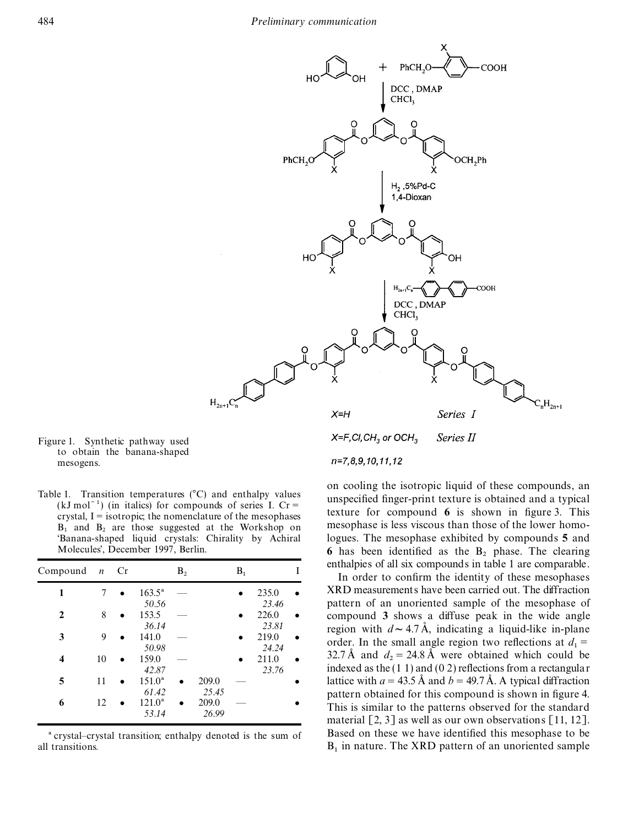

Figure 1. Synthetic pathway used to obtain the banana-shaped mesogens.

 $(kJ \text{ mol}^{-1})$  (in italics) for compounds of series I. Cr =

| Compound $n$ Cr |    |           |                         | B <sub>2</sub> |                | $B_1$ |                         |  |
|-----------------|----|-----------|-------------------------|----------------|----------------|-------|-------------------------|--|
| 1               | 7  | $\bullet$ | $163.5^{\circ}$         |                |                |       | 235.0                   |  |
| 2               | 8  |           | 50.56<br>153.5<br>36.14 |                |                |       | 23.46<br>226.0<br>23.81 |  |
| 3               | 9  |           | 141.0<br>50.98          |                |                |       | 219.0<br>24.24          |  |
| 4               | 10 |           | 159.0<br>42.87          |                |                |       | 211.0<br>23.76          |  |
| 5               | 11 |           | $151.0^a$<br>61.42      |                | 209.0<br>25.45 |       |                         |  |
| 6               | 12 |           | $121.0^a$<br>53.14      |                | 209.0<br>26.99 |       |                         |  |

all transitions.

on cooling the isotropic liquid of these compounds, an Table 1. Transition temperatures (°C) and enthalpy values unspecified finger-print texture is obtained and a typical texture for compound **6** is shown in figure 3. This crystal, I = isotropic; the nomenclature of the mesophases crystal, I = isotropic; the mesophases **B**. and **B**. are those suggested at the Workshop on mesophase is less v  $B_1$  and  $B_2$  are those suggested at the Workshop on mesophase is less viscous than those of the lower homo-'Banana-shaped liquid crystals: Chirality by Achiral logues. The mesophase exhibited by compounds **5** and 6 has been identified as the  $B_2$  phase. The clearing enthalpies of all six compounds in table 1 are comparable.<br>In order to confirm the identity of these mesophases

**1** XRD measurements have been carried out. The diffraction pattern of an unoriented sample of the mesophase of compound 3 shows a diffuse peak in the wide angle region with  $d \sim 4.7 \text{ Å}$ , indicating a liquid-like in-plane **3** 9 **a** 141.0 — **e** 219.0 **order.** In the small angle region two reflections at  $d_1 = 24.24$ **4 24.24 24.24 24.24 24.24 211.0 25.7 24.24 211.0 25.7 24.24 25.76 211.0 25.76 23.76 23.76 23.76 23.76 24.84 25.76 23.76 23.76 23.76 23.76 23.76 23.76 23.76 23.76 23** lattice with  $a = 43.5 \text{ Å}$  and  $b = 49.7 \text{ Å}$ . A typical diffraction pattern obtained for this compound is shown in figure 4. This is similar to the patterns observed for the standard material [2, 3] as well as our own observations [11, 12]. <sup>a</sup> crystal–crystal transition; enthalpy denoted is the sum of Based on these we have identified this mesophase to be  $_{1}$  in nature. The XRD pattern of an unoriented sample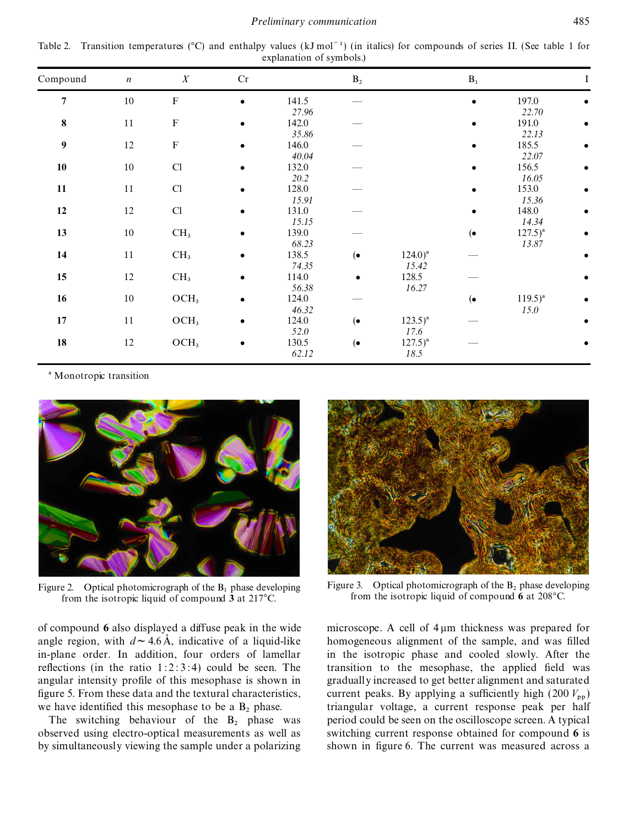*Preliminary communication* 485

Table 2. Transition temperatures ( $^{\circ}$ C) and enthalpy values (kJ mol<sup>-1</sup>) (in italics) for compounds of series II. (See table 1 for explanation of symbols.)

| Compound                   | $\boldsymbol{n}$ | $\boldsymbol{X}$ | Cr        |       | $\mathbf{B}_2$ |              | $\mathbf{B}_1$ |              |  |
|----------------------------|------------------|------------------|-----------|-------|----------------|--------------|----------------|--------------|--|
| $\overline{7}$             | $10\,$           | ${\bf F}$        | $\bullet$ | 141.5 |                |              | $\bullet$      | 197.0        |  |
|                            |                  |                  |           | 27.96 |                |              |                | 22.70        |  |
| 8                          | 11               | ${\bf F}$        | $\bullet$ | 142.0 |                |              |                | 191.0        |  |
|                            |                  |                  |           | 35.86 |                |              |                | 22.13        |  |
| $\boldsymbol{9}$<br>$12\,$ |                  | $\mathbf F$      |           | 146.0 |                |              |                | 185.5        |  |
|                            |                  |                  |           | 40.04 |                |              |                | 22.07        |  |
| 10                         | $10\,$           | Cl               |           | 132.0 |                |              |                | 156.5        |  |
|                            |                  |                  |           | 20.2  |                |              |                | 16.05        |  |
| 11<br>11                   |                  | Cl               |           | 128.0 |                |              |                | 153.0        |  |
|                            |                  |                  |           | 15.91 |                |              |                | 15.36        |  |
| 12                         | $12\,$           | Cl               | $\bullet$ | 131.0 |                |              | $\bullet$      | 148.0        |  |
|                            |                  |                  |           | 15.15 |                |              |                | 14.34        |  |
| 13                         | $10\,$           | CH <sub>3</sub>  |           | 139.0 |                |              | $(\bullet)$    | $127.5)^{a}$ |  |
|                            |                  |                  |           | 68.23 |                |              |                | 13.87        |  |
| 14                         | $11\,$           | CH <sub>3</sub>  |           | 138.5 | $(\bullet)$    | $124.0)^{a}$ |                |              |  |
|                            |                  |                  |           | 74.35 |                | 15.42        |                |              |  |
| 15                         | 12               | CH <sub>3</sub>  |           | 114.0 | $\bullet$      | 128.5        |                |              |  |
|                            |                  |                  |           | 56.38 |                | 16.27        |                |              |  |
| 16                         | $10\,$           | OCH <sub>3</sub> |           | 124.0 |                |              | $(\bullet)$    | $119.5)^{a}$ |  |
|                            |                  |                  |           | 46.32 |                |              |                | 15.0         |  |
| 17<br>$11\,$               |                  | OCH <sub>3</sub> |           | 124.0 | $(\bullet)$    | $123.5)^{a}$ |                |              |  |
|                            |                  |                  | 52.0      |       | 17.6           |              |                |              |  |
| 18                         | 12               | OCH <sub>3</sub> | $\bullet$ | 130.5 | $(\bullet$     | $127.5)^{a}$ |                |              |  |
|                            |                  |                  |           | 62.12 |                | 18.5         |                |              |  |

<sup>a</sup> Monotropic transition



from the isotropic liquid of compound **3** at 217°C. from the isotropic liquid of compound **6** at 208°C.

observed using electro-optical measurements as well as by simultaneously viewing the sample under a polarizing shown in figure 6. The current was measured across a



Figure 2. Optical photomicrograph of the B<sub>1</sub> phase developing Figure 3. Optical photomicrograph of the B<sub>2</sub> phase developing<br> **Example 12** phase developing from the isotropic liquid of compound 6 at 208°C

of compound  $\bf{6}$  also displayed a diffuse peak in the wide microscope. A cell of  $\bf{4} \mu \bf{m}$  thickness was prepared for angle region, with  $d \sim 4.6 \text{ Å}$ , indicative of a liquid-like homogeneous alignment of the sample, and was filled in-plane order. In addition, four orders of lamellar in the isotropic phase and cooled slowly. After the reflections (in the ratio  $1:2:3:4$ ) could be seen. The transition to the mesophase, the applied field was angular intensity profile of this mesophase is shown in gradually increased to get better alignment and saturated figure 5. From these data and the textural characteristics,  $\frac{1}{2}$  current peaks. By applying a sufficiently high (200  $V_{\text{pp}}$ ) we have identified this mesophase to be a  $B_2$  phase. triangular voltage, a current response peak per half<br>The switching behaviour of the  $B_2$  phase was period could be seen on the oscilloscope screen. A typical period could be seen on the oscilloscope screen. A typical switching current response obtained for compound 6 is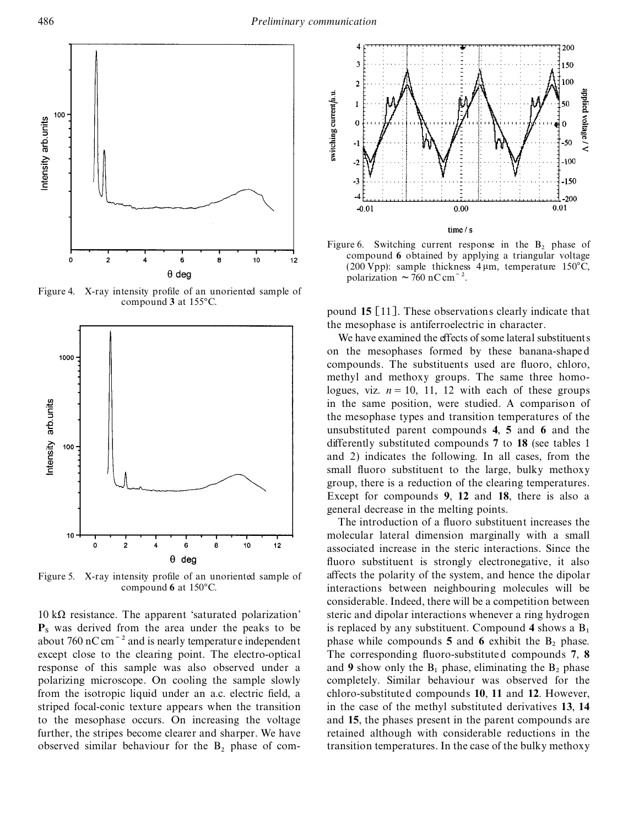

Figure 4. X-ray intensity profile of an unoriented sample of compound 3 at 155°C.



 $P_s$  was derived from the area under the peaks to be<br>about 760 nC cm<sup>-2</sup> and is nearly temperature independent<br>except close to the clearing point. The electro-optical The corresponding fluoro-substituted compounds 7, 8 response of this sample was also observed under a and **9** show only the  $B_1$  phase, eliminating the  $B_2$  phase polarizing microscope. On cooling the sample slowly completely. Similar behaviour was observed for the from the isotropic liquid under an a.c. electric eld, a chloro-substituted compounds **10**, **11** and **12**. However, striped focal-conic texture appears when the transition in the case of the methyl substituted derivatives **13**, **14** to the mesophase occurs. On increasing the voltage and **15**, the phases present in the parent compounds are further, the stripes become clearer and sharper. We have retained although with considerable reductions in the observed similar behaviour for the  $B_2$  phase of com-



Figure 6. Switching current response in the  $B_2$  phase of compound **6** obtained by applying a triangular voltage (200 Vpp): sample thickness  $4 \mu m$ , temperature 150°C, polarization  $\sim$  760 nC cm<sup> $-2$ </sup>.

pound **15** [11]. These observations clearly indicate that the mesophase is antiferroelectric in character.

We have examined the effects of some lateral substituents on the mesophases formed by these banana-shaped compounds. The substituents used are fluoro, chloro, methyl and methoxy groups. The same three homologues, viz.  $n = 10$ , 11, 12 with each of these groups in the same position, were studied. A comparison of the mesophase types and transition temperatures of the unsubstituted parent compounds **4**, **5** and **6** and the differently substituted compounds 7 to 18 (see tables 1) and 2) indicates the following. In all cases, from the small fluoro substituent to the large, bulky methoxy group, there is a reduction of the clearing temperatures. Except for compounds **9**, **12** and **18**, there is also a general decrease in the melting points.

The introduction of a fluoro substituent increases the molecular lateral dimension marginally with a small associated increase in the steric interactions. Since the fluoro substituent is strongly electronegative, it also Figure 5. X-ray intensity profile of an unoriented sample of affects the polarity of the system, and hence the dipolar compound 6 at 150°C. interactions between neighbouring molecules will be considerable. Indeed, there will be a competition between  $10 \text{ k}\Omega$  resistance. The apparent 'saturated polarization' steric and dipolar interactions whenever a ring hydrogen The corresponding fluoro-substituted compounds **7**, **8** completely. Similar behaviour was observed for the transition temperatures. In the case of the bulky methoxy